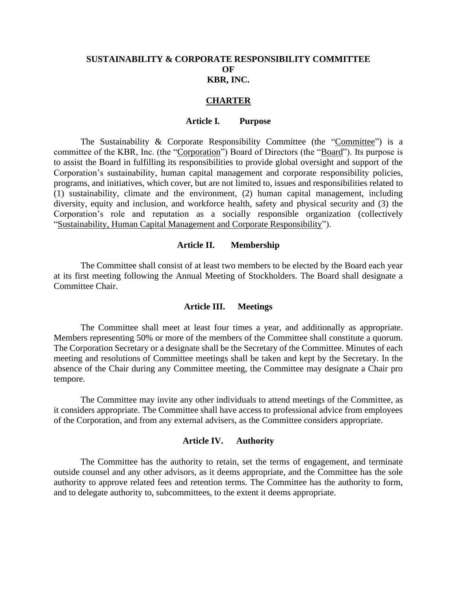# **SUSTAINABILITY & CORPORATE RESPONSIBILITY COMMITTEE OF KBR, INC.**

### **CHARTER**

#### **Article I***.* **Purpose**

The Sustainability & Corporate Responsibility Committee (the "Committee") is a committee of the KBR, Inc. (the "Corporation") Board of Directors (the "Board"). Its purpose is to assist the Board in fulfilling its responsibilities to provide global oversight and support of the Corporation's sustainability, human capital management and corporate responsibility policies, programs, and initiatives, which cover, but are not limited to, issues and responsibilities related to (1) sustainability, climate and the environment, (2) human capital management, including diversity, equity and inclusion, and workforce health, safety and physical security and (3) the Corporation's role and reputation as a socially responsible organization (collectively "Sustainability, Human Capital Management and Corporate Responsibility").

### **Article II. Membership**

The Committee shall consist of at least two members to be elected by the Board each year at its first meeting following the Annual Meeting of Stockholders. The Board shall designate a Committee Chair.

#### **Article III. Meetings**

The Committee shall meet at least four times a year, and additionally as appropriate. Members representing 50% or more of the members of the Committee shall constitute a quorum. The Corporation Secretary or a designate shall be the Secretary of the Committee. Minutes of each meeting and resolutions of Committee meetings shall be taken and kept by the Secretary. In the absence of the Chair during any Committee meeting, the Committee may designate a Chair pro tempore.

The Committee may invite any other individuals to attend meetings of the Committee, as it considers appropriate. The Committee shall have access to professional advice from employees of the Corporation, and from any external advisers, as the Committee considers appropriate.

### **Article IV. Authority**

The Committee has the authority to retain, set the terms of engagement, and terminate outside counsel and any other advisors, as it deems appropriate, and the Committee has the sole authority to approve related fees and retention terms. The Committee has the authority to form, and to delegate authority to, subcommittees, to the extent it deems appropriate.